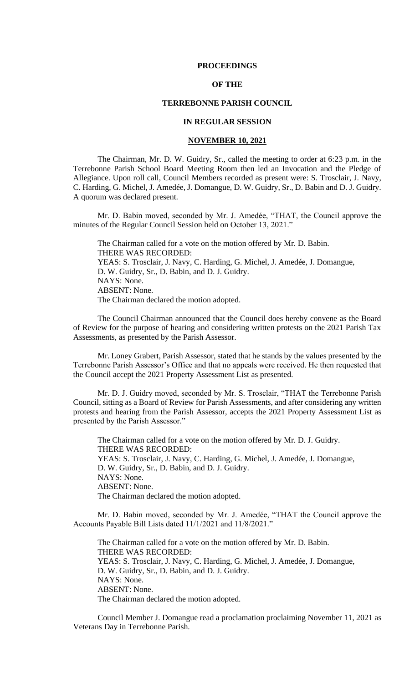#### **PROCEEDINGS**

# **OF THE**

# **TERREBONNE PARISH COUNCIL**

# **IN REGULAR SESSION**

#### **NOVEMBER 10, 2021**

The Chairman, Mr. D. W. Guidry, Sr., called the meeting to order at 6:23 p.m. in the Terrebonne Parish School Board Meeting Room then led an Invocation and the Pledge of Allegiance. Upon roll call, Council Members recorded as present were: S. Trosclair, J. Navy, C. Harding, G. Michel, J. Amedée, J. Domangue, D. W. Guidry, Sr., D. Babin and D. J. Guidry. A quorum was declared present.

Mr. D. Babin moved, seconded by Mr. J. Amedée, "THAT, the Council approve the minutes of the Regular Council Session held on October 13, 2021."

The Chairman called for a vote on the motion offered by Mr. D. Babin. THERE WAS RECORDED: YEAS: S. Trosclair, J. Navy, C. Harding, G. Michel, J. Amedée, J. Domangue, D. W. Guidry, Sr., D. Babin, and D. J. Guidry. NAYS: None. ABSENT: None. The Chairman declared the motion adopted.

The Council Chairman announced that the Council does hereby convene as the Board of Review for the purpose of hearing and considering written protests on the 2021 Parish Tax Assessments, as presented by the Parish Assessor.

Mr. Loney Grabert, Parish Assessor, stated that he stands by the values presented by the Terrebonne Parish Assessor's Office and that no appeals were received. He then requested that the Council accept the 2021 Property Assessment List as presented.

Mr. D. J. Guidry moved, seconded by Mr. S. Trosclair, "THAT the Terrebonne Parish Council, sitting as a Board of Review for Parish Assessments, and after considering any written protests and hearing from the Parish Assessor, accepts the 2021 Property Assessment List as presented by the Parish Assessor."

The Chairman called for a vote on the motion offered by Mr. D. J. Guidry. THERE WAS RECORDED: YEAS: S. Trosclair, J. Navy, C. Harding, G. Michel, J. Amedée, J. Domangue, D. W. Guidry, Sr., D. Babin, and D. J. Guidry. NAYS: None. ABSENT: None. The Chairman declared the motion adopted.

Mr. D. Babin moved, seconded by Mr. J. Amedée, "THAT the Council approve the Accounts Payable Bill Lists dated 11/1/2021 and 11/8/2021."

The Chairman called for a vote on the motion offered by Mr. D. Babin. THERE WAS RECORDED: YEAS: S. Trosclair, J. Navy, C. Harding, G. Michel, J. Amedée, J. Domangue, D. W. Guidry, Sr., D. Babin, and D. J. Guidry. NAYS: None. ABSENT: None. The Chairman declared the motion adopted.

Council Member J. Domangue read a proclamation proclaiming November 11, 2021 as Veterans Day in Terrebonne Parish.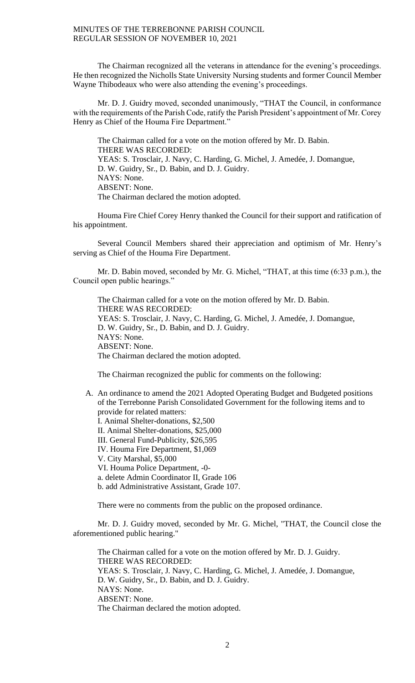The Chairman recognized all the veterans in attendance for the evening's proceedings. He then recognized the Nicholls State University Nursing students and former Council Member Wayne Thibodeaux who were also attending the evening's proceedings.

Mr. D. J. Guidry moved, seconded unanimously, "THAT the Council, in conformance with the requirements of the Parish Code, ratify the Parish President's appointment of Mr. Corey Henry as Chief of the Houma Fire Department."

The Chairman called for a vote on the motion offered by Mr. D. Babin. THERE WAS RECORDED: YEAS: S. Trosclair, J. Navy, C. Harding, G. Michel, J. Amedée, J. Domangue, D. W. Guidry, Sr., D. Babin, and D. J. Guidry. NAYS: None. ABSENT: None. The Chairman declared the motion adopted.

Houma Fire Chief Corey Henry thanked the Council for their support and ratification of his appointment.

Several Council Members shared their appreciation and optimism of Mr. Henry's serving as Chief of the Houma Fire Department.

Mr. D. Babin moved, seconded by Mr. G. Michel, "THAT, at this time (6:33 p.m.), the Council open public hearings."

The Chairman called for a vote on the motion offered by Mr. D. Babin. THERE WAS RECORDED: YEAS: S. Trosclair, J. Navy, C. Harding, G. Michel, J. Amedée, J. Domangue, D. W. Guidry, Sr., D. Babin, and D. J. Guidry. NAYS: None. ABSENT: None. The Chairman declared the motion adopted.

The Chairman recognized the public for comments on the following:

A. An ordinance to amend the 2021 Adopted Operating Budget and Budgeted positions of the Terrebonne Parish Consolidated Government for the following items and to provide for related matters: I. Animal Shelter-donations, \$2,500 II. Animal Shelter-donations, \$25,000 III. General Fund-Publicity, \$26,595 IV. Houma Fire Department, \$1,069 V. City Marshal, \$5,000 VI. Houma Police Department, -0 a. delete Admin Coordinator II, Grade 106 b. add Administrative Assistant, Grade 107.

There were no comments from the public on the proposed ordinance.

Mr. D. J. Guidry moved, seconded by Mr. G. Michel, "THAT, the Council close the aforementioned public hearing."

The Chairman called for a vote on the motion offered by Mr. D. J. Guidry. THERE WAS RECORDED: YEAS: S. Trosclair, J. Navy, C. Harding, G. Michel, J. Amedée, J. Domangue, D. W. Guidry, Sr., D. Babin, and D. J. Guidry. NAYS: None. ABSENT: None. The Chairman declared the motion adopted.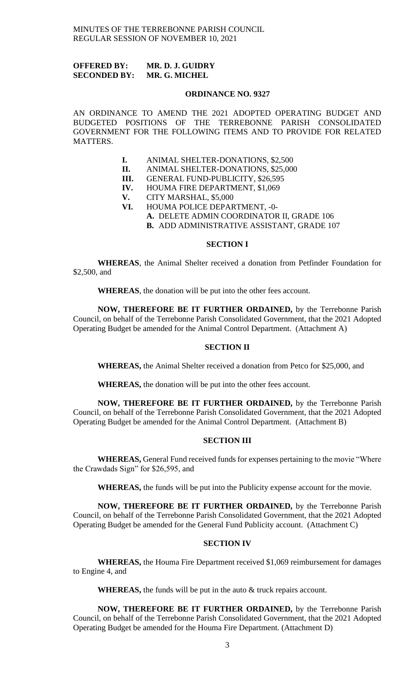# **OFFERED BY: MR. D. J. GUIDRY SECONDED BY: MR. G. MICHEL**

#### **ORDINANCE NO. 9327**

AN ORDINANCE TO AMEND THE 2021 ADOPTED OPERATING BUDGET AND BUDGETED POSITIONS OF THE TERREBONNE PARISH CONSOLIDATED GOVERNMENT FOR THE FOLLOWING ITEMS AND TO PROVIDE FOR RELATED MATTERS.

- **I.** ANIMAL SHELTER-DONATIONS, \$2,500 **II.** ANIMAL SHELTER-DONATIONS, \$25,000
- ANIMAL SHELTER-DONATIONS, \$25,000
- **III.** GENERAL FUND-PUBLICITY, \$26,595<br>**IV.** HOUMA FIRE DEPARTMENT, \$1,069
- **HOUMA FIRE DEPARTMENT, \$1,069**
- **V.** CITY MARSHAL, \$5,000
- **VI.** HOUMA POLICE DEPARTMENT, -0-
	- **A.** DELETE ADMIN COORDINATOR II, GRADE 106
	- **B.** ADD ADMINISTRATIVE ASSISTANT, GRADE 107

# **SECTION I**

**WHEREAS**, the Animal Shelter received a donation from Petfinder Foundation for \$2,500, and

**WHEREAS**, the donation will be put into the other fees account.

**NOW, THEREFORE BE IT FURTHER ORDAINED,** by the Terrebonne Parish Council, on behalf of the Terrebonne Parish Consolidated Government, that the 2021 Adopted Operating Budget be amended for the Animal Control Department. (Attachment A)

# **SECTION II**

**WHEREAS,** the Animal Shelter received a donation from Petco for \$25,000, and

**WHEREAS,** the donation will be put into the other fees account.

**NOW, THEREFORE BE IT FURTHER ORDAINED,** by the Terrebonne Parish Council, on behalf of the Terrebonne Parish Consolidated Government, that the 2021 Adopted Operating Budget be amended for the Animal Control Department. (Attachment B)

# **SECTION III**

**WHEREAS,** General Fund received funds for expenses pertaining to the movie "Where the Crawdads Sign" for \$26,595, and

**WHEREAS,** the funds will be put into the Publicity expense account for the movie.

**NOW, THEREFORE BE IT FURTHER ORDAINED,** by the Terrebonne Parish Council, on behalf of the Terrebonne Parish Consolidated Government, that the 2021 Adopted Operating Budget be amended for the General Fund Publicity account. (Attachment C)

# **SECTION IV**

**WHEREAS,** the Houma Fire Department received \$1,069 reimbursement for damages to Engine 4, and

**WHEREAS,** the funds will be put in the auto & truck repairs account.

**NOW, THEREFORE BE IT FURTHER ORDAINED,** by the Terrebonne Parish Council, on behalf of the Terrebonne Parish Consolidated Government, that the 2021 Adopted Operating Budget be amended for the Houma Fire Department. (Attachment D)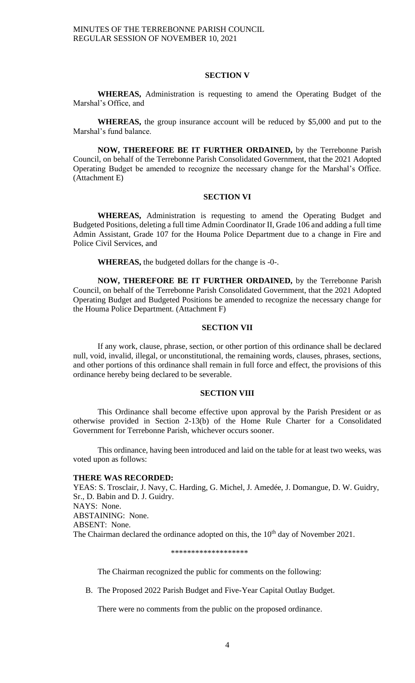### **SECTION V**

**WHEREAS,** Administration is requesting to amend the Operating Budget of the Marshal's Office, and

**WHEREAS,** the group insurance account will be reduced by \$5,000 and put to the Marshal's fund balance.

**NOW, THEREFORE BE IT FURTHER ORDAINED,** by the Terrebonne Parish Council, on behalf of the Terrebonne Parish Consolidated Government, that the 2021 Adopted Operating Budget be amended to recognize the necessary change for the Marshal's Office. (Attachment E)

# **SECTION VI**

**WHEREAS,** Administration is requesting to amend the Operating Budget and Budgeted Positions, deleting a full time Admin Coordinator II, Grade 106 and adding a full time Admin Assistant, Grade 107 for the Houma Police Department due to a change in Fire and Police Civil Services, and

**WHEREAS,** the budgeted dollars for the change is -0-.

**NOW, THEREFORE BE IT FURTHER ORDAINED,** by the Terrebonne Parish Council, on behalf of the Terrebonne Parish Consolidated Government, that the 2021 Adopted Operating Budget and Budgeted Positions be amended to recognize the necessary change for the Houma Police Department. (Attachment F)

# **SECTION VII**

If any work, clause, phrase, section, or other portion of this ordinance shall be declared null, void, invalid, illegal, or unconstitutional, the remaining words, clauses, phrases, sections, and other portions of this ordinance shall remain in full force and effect, the provisions of this ordinance hereby being declared to be severable.

#### **SECTION VIII**

This Ordinance shall become effective upon approval by the Parish President or as otherwise provided in Section 2-13(b) of the Home Rule Charter for a Consolidated Government for Terrebonne Parish, whichever occurs sooner.

This ordinance, having been introduced and laid on the table for at least two weeks, was voted upon as follows:

#### **THERE WAS RECORDED:**

YEAS: S. Trosclair, J. Navy, C. Harding, G. Michel, J. Amedée, J. Domangue, D. W. Guidry, Sr., D. Babin and D. J. Guidry. NAYS: None. ABSTAINING: None. ABSENT: None. The Chairman declared the ordinance adopted on this, the  $10<sup>th</sup>$  day of November 2021.

#### \*\*\*\*\*\*\*\*\*\*\*\*\*\*\*\*\*\*\*

The Chairman recognized the public for comments on the following:

B. The Proposed 2022 Parish Budget and Five-Year Capital Outlay Budget.

There were no comments from the public on the proposed ordinance.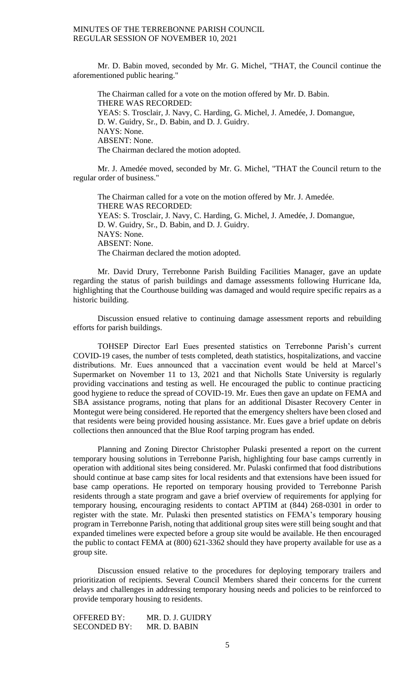Mr. D. Babin moved, seconded by Mr. G. Michel, "THAT, the Council continue the aforementioned public hearing."

The Chairman called for a vote on the motion offered by Mr. D. Babin. THERE WAS RECORDED: YEAS: S. Trosclair, J. Navy, C. Harding, G. Michel, J. Amedée, J. Domangue, D. W. Guidry, Sr., D. Babin, and D. J. Guidry. NAYS: None. ABSENT: None. The Chairman declared the motion adopted.

Mr. J. Amedée moved, seconded by Mr. G. Michel, "THAT the Council return to the regular order of business."

The Chairman called for a vote on the motion offered by Mr. J. Amedée. THERE WAS RECORDED: YEAS: S. Trosclair, J. Navy, C. Harding, G. Michel, J. Amedée, J. Domangue, D. W. Guidry, Sr., D. Babin, and D. J. Guidry. NAYS: None. ABSENT: None. The Chairman declared the motion adopted.

Mr. David Drury, Terrebonne Parish Building Facilities Manager, gave an update regarding the status of parish buildings and damage assessments following Hurricane Ida, highlighting that the Courthouse building was damaged and would require specific repairs as a historic building.

Discussion ensued relative to continuing damage assessment reports and rebuilding efforts for parish buildings.

TOHSEP Director Earl Eues presented statistics on Terrebonne Parish's current COVID-19 cases, the number of tests completed, death statistics, hospitalizations, and vaccine distributions. Mr. Eues announced that a vaccination event would be held at Marcel's Supermarket on November 11 to 13, 2021 and that Nicholls State University is regularly providing vaccinations and testing as well. He encouraged the public to continue practicing good hygiene to reduce the spread of COVID-19. Mr. Eues then gave an update on FEMA and SBA assistance programs, noting that plans for an additional Disaster Recovery Center in Montegut were being considered. He reported that the emergency shelters have been closed and that residents were being provided housing assistance. Mr. Eues gave a brief update on debris collections then announced that the Blue Roof tarping program has ended.

Planning and Zoning Director Christopher Pulaski presented a report on the current temporary housing solutions in Terrebonne Parish, highlighting four base camps currently in operation with additional sites being considered. Mr. Pulaski confirmed that food distributions should continue at base camp sites for local residents and that extensions have been issued for base camp operations. He reported on temporary housing provided to Terrebonne Parish residents through a state program and gave a brief overview of requirements for applying for temporary housing, encouraging residents to contact APTIM at (844) 268-0301 in order to register with the state. Mr. Pulaski then presented statistics on FEMA's temporary housing program in Terrebonne Parish, noting that additional group sites were still being sought and that expanded timelines were expected before a group site would be available. He then encouraged the public to contact FEMA at (800) 621-3362 should they have property available for use as a group site.

Discussion ensued relative to the procedures for deploying temporary trailers and prioritization of recipients. Several Council Members shared their concerns for the current delays and challenges in addressing temporary housing needs and policies to be reinforced to provide temporary housing to residents.

OFFERED BY: MR. D. J. GUIDRY SECONDED BY: MR. D. BABIN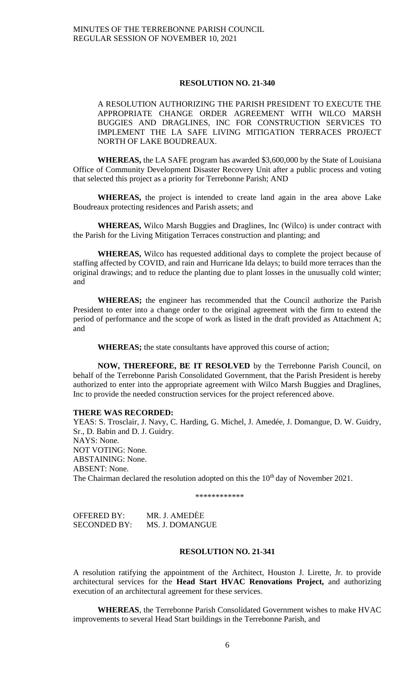# **RESOLUTION NO. 21-340**

A RESOLUTION AUTHORIZING THE PARISH PRESIDENT TO EXECUTE THE APPROPRIATE CHANGE ORDER AGREEMENT WITH WILCO MARSH BUGGIES AND DRAGLINES, INC FOR CONSTRUCTION SERVICES TO IMPLEMENT THE LA SAFE LIVING MITIGATION TERRACES PROJECT NORTH OF LAKE BOUDREAUX.

**WHEREAS,** the LA SAFE program has awarded \$3,600,000 by the State of Louisiana Office of Community Development Disaster Recovery Unit after a public process and voting that selected this project as a priority for Terrebonne Parish; AND

**WHEREAS,** the project is intended to create land again in the area above Lake Boudreaux protecting residences and Parish assets; and

**WHEREAS,** Wilco Marsh Buggies and Draglines, Inc (Wilco) is under contract with the Parish for the Living Mitigation Terraces construction and planting; and

**WHEREAS,** Wilco has requested additional days to complete the project because of staffing affected by COVID, and rain and Hurricane Ida delays; to build more terraces than the original drawings; and to reduce the planting due to plant losses in the unusually cold winter; and

**WHEREAS;** the engineer has recommended that the Council authorize the Parish President to enter into a change order to the original agreement with the firm to extend the period of performance and the scope of work as listed in the draft provided as Attachment A; and

**WHEREAS;** the state consultants have approved this course of action;

**NOW, THEREFORE, BE IT RESOLVED** by the Terrebonne Parish Council, on behalf of the Terrebonne Parish Consolidated Government, that the Parish President is hereby authorized to enter into the appropriate agreement with Wilco Marsh Buggies and Draglines, Inc to provide the needed construction services for the project referenced above.

# **THERE WAS RECORDED:**

YEAS: S. Trosclair, J. Navy, C. Harding, G. Michel, J. Amedée, J. Domangue, D. W. Guidry, Sr., D. Babin and D. J. Guidry. NAYS: None. NOT VOTING: None. ABSTAINING: None. ABSENT: None. The Chairman declared the resolution adopted on this the  $10<sup>th</sup>$  day of November 2021.

\*\*\*\*\*\*\*\*\*\*\*\*

| OFFERED BY:         | MR. J. AMEDĖE   |
|---------------------|-----------------|
| <b>SECONDED BY:</b> | MS. J. DOMANGUE |

# **RESOLUTION NO. 21-341**

A resolution ratifying the appointment of the Architect, Houston J. Lirette, Jr. to provide architectural services for the **Head Start HVAC Renovations Project,** and authorizing execution of an architectural agreement for these services.

**WHEREAS**, the Terrebonne Parish Consolidated Government wishes to make HVAC improvements to several Head Start buildings in the Terrebonne Parish, and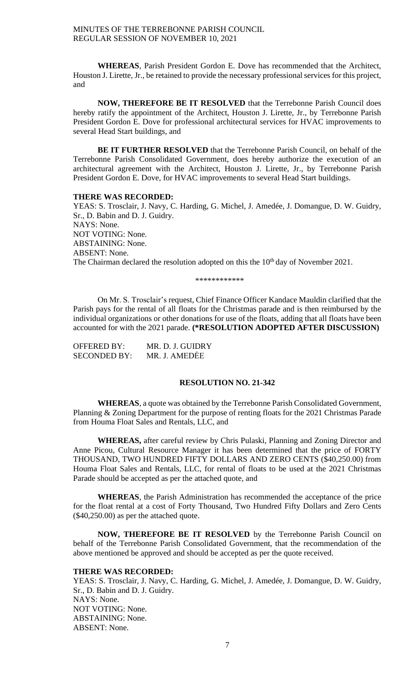**WHEREAS**, Parish President Gordon E. Dove has recommended that the Architect, Houston J. Lirette, Jr., be retained to provide the necessary professional services for this project, and

**NOW, THEREFORE BE IT RESOLVED** that the Terrebonne Parish Council does hereby ratify the appointment of the Architect, Houston J. Lirette, Jr., by Terrebonne Parish President Gordon E. Dove for professional architectural services for HVAC improvements to several Head Start buildings, and

**BE IT FURTHER RESOLVED** that the Terrebonne Parish Council, on behalf of the Terrebonne Parish Consolidated Government, does hereby authorize the execution of an architectural agreement with the Architect, Houston J. Lirette, Jr., by Terrebonne Parish President Gordon E. Dove, for HVAC improvements to several Head Start buildings.

#### **THERE WAS RECORDED:**

YEAS: S. Trosclair, J. Navy, C. Harding, G. Michel, J. Amedée, J. Domangue, D. W. Guidry, Sr., D. Babin and D. J. Guidry. NAYS: None. NOT VOTING: None. ABSTAINING: None. ABSENT: None. The Chairman declared the resolution adopted on this the  $10<sup>th</sup>$  day of November 2021.

\*\*\*\*\*\*\*\*\*\*\*\*

On Mr. S. Trosclair's request, Chief Finance Officer Kandace Mauldin clarified that the Parish pays for the rental of all floats for the Christmas parade and is then reimbursed by the individual organizations or other donations for use of the floats, adding that all floats have been accounted for with the 2021 parade. **(\*RESOLUTION ADOPTED AFTER DISCUSSION)**

| OFFERED BY:         | MR. D. J. GUIDRY |
|---------------------|------------------|
| <b>SECONDED BY:</b> | MR. J. AMEDĖE    |

#### **RESOLUTION NO. 21-342**

**WHEREAS**, a quote was obtained by the Terrebonne Parish Consolidated Government, Planning & Zoning Department for the purpose of renting floats for the 2021 Christmas Parade from Houma Float Sales and Rentals, LLC, and

**WHEREAS,** after careful review by Chris Pulaski, Planning and Zoning Director and Anne Picou, Cultural Resource Manager it has been determined that the price of FORTY THOUSAND, TWO HUNDRED FIFTY DOLLARS AND ZERO CENTS (\$40,250.00) from Houma Float Sales and Rentals, LLC, for rental of floats to be used at the 2021 Christmas Parade should be accepted as per the attached quote, and

**WHEREAS**, the Parish Administration has recommended the acceptance of the price for the float rental at a cost of Forty Thousand, Two Hundred Fifty Dollars and Zero Cents (\$40,250.00) as per the attached quote.

**NOW, THEREFORE BE IT RESOLVED** by the Terrebonne Parish Council on behalf of the Terrebonne Parish Consolidated Government, that the recommendation of the above mentioned be approved and should be accepted as per the quote received.

# **THERE WAS RECORDED:**

YEAS: S. Trosclair, J. Navy, C. Harding, G. Michel, J. Amedée, J. Domangue, D. W. Guidry, Sr., D. Babin and D. J. Guidry. NAYS: None. NOT VOTING: None. ABSTAINING: None. ABSENT: None.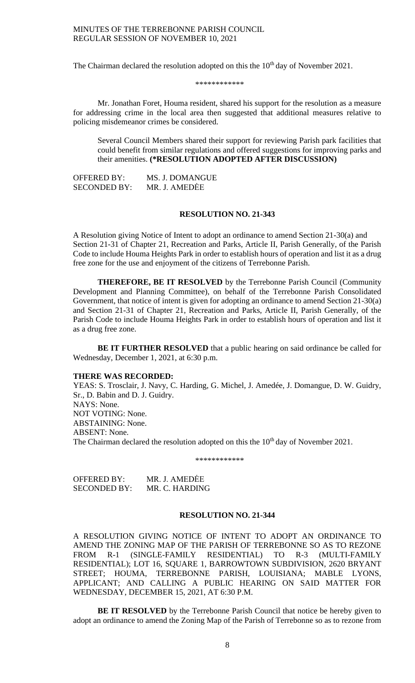The Chairman declared the resolution adopted on this the  $10<sup>th</sup>$  day of November 2021.

#### \*\*\*\*\*\*\*\*\*\*\*\*

Mr. Jonathan Foret, Houma resident, shared his support for the resolution as a measure for addressing crime in the local area then suggested that additional measures relative to policing misdemeanor crimes be considered.

Several Council Members shared their support for reviewing Parish park facilities that could benefit from similar regulations and offered suggestions for improving parks and their amenities. **(\*RESOLUTION ADOPTED AFTER DISCUSSION)**

OFFERED BY: MS. J. DOMANGUE SECONDED BY: MR. J. AMEDĖE

#### **RESOLUTION NO. 21-343**

A Resolution giving Notice of Intent to adopt an ordinance to amend Section 21-30(a) and Section 21-31 of Chapter 21, Recreation and Parks, Article II, Parish Generally, of the Parish Code to include Houma Heights Park in order to establish hours of operation and list it as a drug free zone for the use and enjoyment of the citizens of Terrebonne Parish.

**THEREFORE, BE IT RESOLVED** by the Terrebonne Parish Council (Community Development and Planning Committee), on behalf of the Terrebonne Parish Consolidated Government, that notice of intent is given for adopting an ordinance to amend Section 21-30(a) and Section 21-31 of Chapter 21, Recreation and Parks, Article II, Parish Generally, of the Parish Code to include Houma Heights Park in order to establish hours of operation and list it as a drug free zone.

**BE IT FURTHER RESOLVED** that a public hearing on said ordinance be called for Wednesday, December 1, 2021, at 6:30 p.m.

### **THERE WAS RECORDED:**

YEAS: S. Trosclair, J. Navy, C. Harding, G. Michel, J. Amedée, J. Domangue, D. W. Guidry, Sr., D. Babin and D. J. Guidry. NAYS: None. NOT VOTING: None. ABSTAINING: None. ABSENT: None. The Chairman declared the resolution adopted on this the  $10<sup>th</sup>$  day of November 2021.

\*\*\*\*\*\*\*\*\*\*\*

OFFERED BY: MR. J. AMEDĖE SECONDED BY: MR. C. HARDING

### **RESOLUTION NO. 21-344**

A RESOLUTION GIVING NOTICE OF INTENT TO ADOPT AN ORDINANCE TO AMEND THE ZONING MAP OF THE PARISH OF TERREBONNE SO AS TO REZONE FROM R-1 (SINGLE-FAMILY RESIDENTIAL) TO R-3 (MULTI-FAMILY RESIDENTIAL); LOT 16, SQUARE 1, BARROWTOWN SUBDIVISION, 2620 BRYANT STREET; HOUMA, TERREBONNE PARISH, LOUISIANA; MABLE LYONS, APPLICANT; AND CALLING A PUBLIC HEARING ON SAID MATTER FOR WEDNESDAY, DECEMBER 15, 2021, AT 6:30 P.M.

**BE IT RESOLVED** by the Terrebonne Parish Council that notice be hereby given to adopt an ordinance to amend the Zoning Map of the Parish of Terrebonne so as to rezone from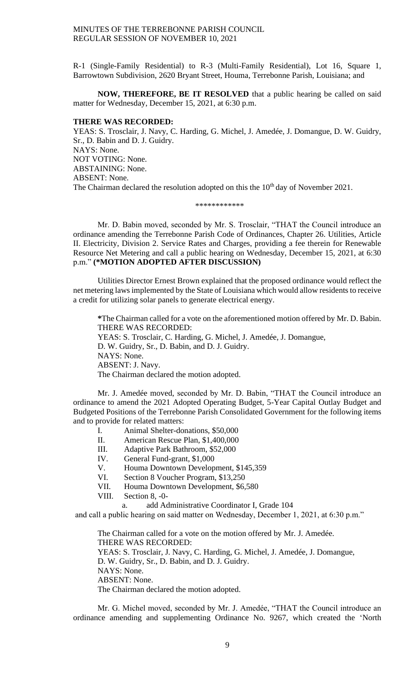R-1 (Single-Family Residential) to R-3 (Multi-Family Residential), Lot 16, Square 1, Barrowtown Subdivision, 2620 Bryant Street, Houma, Terrebonne Parish, Louisiana; and

**NOW, THEREFORE, BE IT RESOLVED** that a public hearing be called on said matter for Wednesday, December 15, 2021, at 6:30 p.m.

# **THERE WAS RECORDED:**

YEAS: S. Trosclair, J. Navy, C. Harding, G. Michel, J. Amedée, J. Domangue, D. W. Guidry, Sr., D. Babin and D. J. Guidry. NAYS: None. NOT VOTING: None. ABSTAINING: None. ABSENT: None. The Chairman declared the resolution adopted on this the 10<sup>th</sup> day of November 2021.

#### \*\*\*\*\*\*\*\*\*\*\*\*

Mr. D. Babin moved, seconded by Mr. S. Trosclair, "THAT the Council introduce an ordinance amending the Terrebonne Parish Code of Ordinances, Chapter 26. Utilities, Article II. Electricity, Division 2. Service Rates and Charges, providing a fee therein for Renewable Resource Net Metering and call a public hearing on Wednesday, December 15, 2021, at 6:30 p.m." **(\*MOTION ADOPTED AFTER DISCUSSION)**

Utilities Director Ernest Brown explained that the proposed ordinance would reflect the net metering laws implemented by the State of Louisiana which would allow residents to receive a credit for utilizing solar panels to generate electrical energy.

**\***The Chairman called for a vote on the aforementioned motion offered by Mr. D. Babin. THERE WAS RECORDED: YEAS: S. Trosclair, C. Harding, G. Michel, J. Amedée, J. Domangue, D. W. Guidry, Sr., D. Babin, and D. J. Guidry. NAYS: None. ABSENT: J. Navy. The Chairman declared the motion adopted.

Mr. J. Amedée moved, seconded by Mr. D. Babin, "THAT the Council introduce an ordinance to amend the 2021 Adopted Operating Budget, 5-Year Capital Outlay Budget and Budgeted Positions of the Terrebonne Parish Consolidated Government for the following items and to provide for related matters:

- I. Animal Shelter-donations, \$50,000
- II. American Rescue Plan, \$1,400,000
- III. Adaptive Park Bathroom, \$52,000
- IV. General Fund-grant, \$1,000
- V. Houma Downtown Development, \$145,359
- VI. Section 8 Voucher Program, \$13,250
- VII. Houma Downtown Development, \$6,580
- VIII. Section 8, -0-

a. add Administrative Coordinator I, Grade 104

and call a public hearing on said matter on Wednesday, December 1, 2021, at 6:30 p.m."

The Chairman called for a vote on the motion offered by Mr. J. Amedée. THERE WAS RECORDED: YEAS: S. Trosclair, J. Navy, C. Harding, G. Michel, J. Amedée, J. Domangue, D. W. Guidry, Sr., D. Babin, and D. J. Guidry. NAYS: None. ABSENT: None. The Chairman declared the motion adopted.

Mr. G. Michel moved, seconded by Mr. J. Amedée, "THAT the Council introduce an ordinance amending and supplementing Ordinance No. 9267, which created the 'North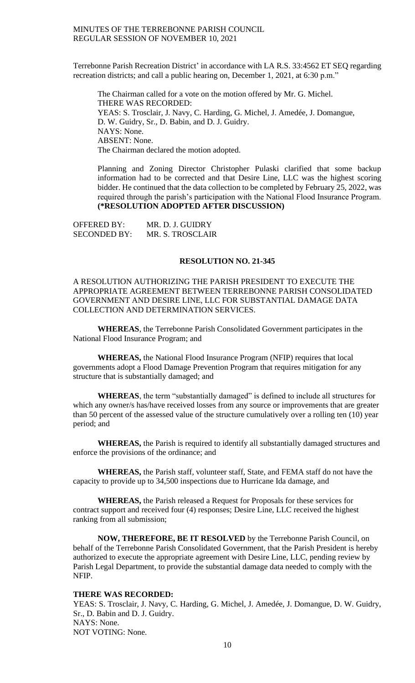Terrebonne Parish Recreation District' in accordance with LA R.S. 33:4562 ET SEQ regarding recreation districts; and call a public hearing on, December 1, 2021, at 6:30 p.m."

The Chairman called for a vote on the motion offered by Mr. G. Michel. THERE WAS RECORDED: YEAS: S. Trosclair, J. Navy, C. Harding, G. Michel, J. Amedée, J. Domangue, D. W. Guidry, Sr., D. Babin, and D. J. Guidry. NAYS: None. ABSENT: None. The Chairman declared the motion adopted.

Planning and Zoning Director Christopher Pulaski clarified that some backup information had to be corrected and that Desire Line, LLC was the highest scoring bidder. He continued that the data collection to be completed by February 25, 2022, was required through the parish's participation with the National Flood Insurance Program. **(\*RESOLUTION ADOPTED AFTER DISCUSSION)**

| OFFERED BY:         | MR. D. J. GUIDRY |
|---------------------|------------------|
| <b>SECONDED BY:</b> | MR. S. TROSCLAIR |

# **RESOLUTION NO. 21-345**

A RESOLUTION AUTHORIZING THE PARISH PRESIDENT TO EXECUTE THE APPROPRIATE AGREEMENT BETWEEN TERREBONNE PARISH CONSOLIDATED GOVERNMENT AND DESIRE LINE, LLC FOR SUBSTANTIAL DAMAGE DATA COLLECTION AND DETERMINATION SERVICES.

**WHEREAS**, the Terrebonne Parish Consolidated Government participates in the National Flood Insurance Program; and

**WHEREAS,** the National Flood Insurance Program (NFIP) requires that local governments adopt a Flood Damage Prevention Program that requires mitigation for any structure that is substantially damaged; and

**WHEREAS**, the term "substantially damaged" is defined to include all structures for which any owner/s has/have received losses from any source or improvements that are greater than 50 percent of the assessed value of the structure cumulatively over a rolling ten (10) year period; and

**WHEREAS,** the Parish is required to identify all substantially damaged structures and enforce the provisions of the ordinance; and

**WHEREAS,** the Parish staff, volunteer staff, State, and FEMA staff do not have the capacity to provide up to 34,500 inspections due to Hurricane Ida damage, and

**WHEREAS,** the Parish released a Request for Proposals for these services for contract support and received four (4) responses; Desire Line, LLC received the highest ranking from all submission;

**NOW, THEREFORE, BE IT RESOLVED** by the Terrebonne Parish Council, on behalf of the Terrebonne Parish Consolidated Government, that the Parish President is hereby authorized to execute the appropriate agreement with Desire Line, LLC, pending review by Parish Legal Department, to provide the substantial damage data needed to comply with the NFIP.

### **THERE WAS RECORDED:**

YEAS: S. Trosclair, J. Navy, C. Harding, G. Michel, J. Amedée, J. Domangue, D. W. Guidry, Sr., D. Babin and D. J. Guidry. NAYS: None. NOT VOTING: None.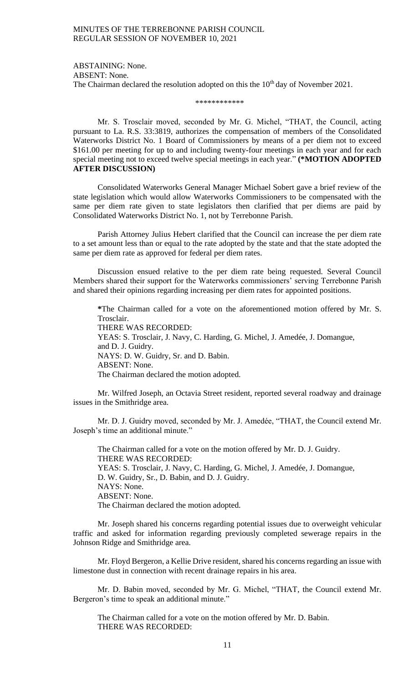ABSTAINING: None. ABSENT: None. The Chairman declared the resolution adopted on this the  $10<sup>th</sup>$  day of November 2021.

\*\*\*\*\*\*\*\*\*\*\*\*

Mr. S. Trosclair moved, seconded by Mr. G. Michel, "THAT, the Council, acting pursuant to La. R.S. 33:3819, authorizes the compensation of members of the Consolidated Waterworks District No. 1 Board of Commissioners by means of a per diem not to exceed \$161.00 per meeting for up to and including twenty-four meetings in each year and for each special meeting not to exceed twelve special meetings in each year." **(\*MOTION ADOPTED AFTER DISCUSSION)**

Consolidated Waterworks General Manager Michael Sobert gave a brief review of the state legislation which would allow Waterworks Commissioners to be compensated with the same per diem rate given to state legislators then clarified that per diems are paid by Consolidated Waterworks District No. 1, not by Terrebonne Parish.

Parish Attorney Julius Hebert clarified that the Council can increase the per diem rate to a set amount less than or equal to the rate adopted by the state and that the state adopted the same per diem rate as approved for federal per diem rates.

Discussion ensued relative to the per diem rate being requested. Several Council Members shared their support for the Waterworks commissioners' serving Terrebonne Parish and shared their opinions regarding increasing per diem rates for appointed positions.

**\***The Chairman called for a vote on the aforementioned motion offered by Mr. S. Trosclair.

THERE WAS RECORDED:

YEAS: S. Trosclair, J. Navy, C. Harding, G. Michel, J. Amedée, J. Domangue, and D. J. Guidry. NAYS: D. W. Guidry, Sr. and D. Babin. ABSENT: None. The Chairman declared the motion adopted.

Mr. Wilfred Joseph, an Octavia Street resident, reported several roadway and drainage issues in the Smithridge area.

Mr. D. J. Guidry moved, seconded by Mr. J. Amedée, "THAT, the Council extend Mr. Joseph's time an additional minute."

The Chairman called for a vote on the motion offered by Mr. D. J. Guidry. THERE WAS RECORDED: YEAS: S. Trosclair, J. Navy, C. Harding, G. Michel, J. Amedée, J. Domangue, D. W. Guidry, Sr., D. Babin, and D. J. Guidry. NAYS: None. ABSENT: None. The Chairman declared the motion adopted.

Mr. Joseph shared his concerns regarding potential issues due to overweight vehicular traffic and asked for information regarding previously completed sewerage repairs in the Johnson Ridge and Smithridge area.

Mr. Floyd Bergeron, a Kellie Drive resident, shared his concerns regarding an issue with limestone dust in connection with recent drainage repairs in his area.

Mr. D. Babin moved, seconded by Mr. G. Michel, "THAT, the Council extend Mr. Bergeron's time to speak an additional minute."

The Chairman called for a vote on the motion offered by Mr. D. Babin. THERE WAS RECORDED: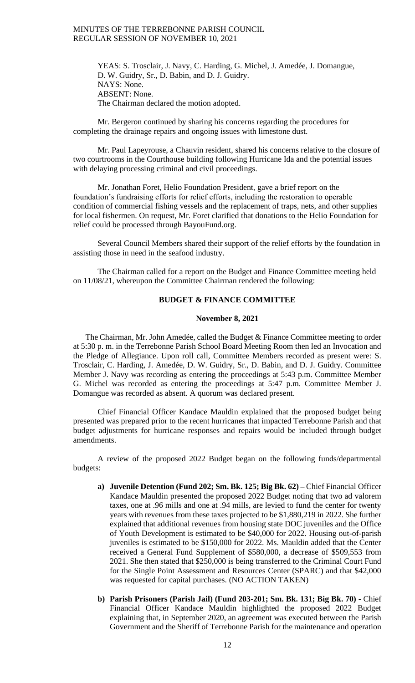YEAS: S. Trosclair, J. Navy, C. Harding, G. Michel, J. Amedée, J. Domangue, D. W. Guidry, Sr., D. Babin, and D. J. Guidry. NAYS: None. ABSENT: None. The Chairman declared the motion adopted.

Mr. Bergeron continued by sharing his concerns regarding the procedures for completing the drainage repairs and ongoing issues with limestone dust.

Mr. Paul Lapeyrouse, a Chauvin resident, shared his concerns relative to the closure of two courtrooms in the Courthouse building following Hurricane Ida and the potential issues with delaying processing criminal and civil proceedings.

Mr. Jonathan Foret, Helio Foundation President, gave a brief report on the foundation's fundraising efforts for relief efforts, including the restoration to operable condition of commercial fishing vessels and the replacement of traps, nets, and other supplies for local fishermen. On request, Mr. Foret clarified that donations to the Helio Foundation for relief could be processed through BayouFund.org.

Several Council Members shared their support of the relief efforts by the foundation in assisting those in need in the seafood industry.

The Chairman called for a report on the Budget and Finance Committee meeting held on 11/08/21, whereupon the Committee Chairman rendered the following:

# **BUDGET & FINANCE COMMITTEE**

### **November 8, 2021**

The Chairman, Mr. John Amedée, called the Budget & Finance Committee meeting to order at 5:30 p. m. in the Terrebonne Parish School Board Meeting Room then led an Invocation and the Pledge of Allegiance. Upon roll call, Committee Members recorded as present were: S. Trosclair, C. Harding, J. Amedée, D. W. Guidry, Sr., D. Babin, and D. J. Guidry. Committee Member J. Navy was recording as entering the proceedings at 5:43 p.m. Committee Member G. Michel was recorded as entering the proceedings at 5:47 p.m. Committee Member J. Domangue was recorded as absent. A quorum was declared present.

Chief Financial Officer Kandace Mauldin explained that the proposed budget being presented was prepared prior to the recent hurricanes that impacted Terrebonne Parish and that budget adjustments for hurricane responses and repairs would be included through budget amendments.

A review of the proposed 2022 Budget began on the following funds/departmental budgets:

- **a) Juvenile Detention (Fund 202; Sm. Bk. 125; Big Bk. 62) –** Chief Financial Officer Kandace Mauldin presented the proposed 2022 Budget noting that two ad valorem taxes, one at .96 mills and one at .94 mills, are levied to fund the center for twenty years with revenues from these taxes projected to be \$1,880,219 in 2022. She further explained that additional revenues from housing state DOC juveniles and the Office of Youth Development is estimated to be \$40,000 for 2022. Housing out-of-parish juveniles is estimated to be \$150,000 for 2022. Ms. Mauldin added that the Center received a General Fund Supplement of \$580,000, a decrease of \$509,553 from 2021. She then stated that \$250,000 is being transferred to the Criminal Court Fund for the Single Point Assessment and Resources Center (SPARC) and that \$42,000 was requested for capital purchases. (NO ACTION TAKEN)
- **b) Parish Prisoners (Parish Jail) (Fund 203-201; Sm. Bk. 131; Big Bk. 70) -** Chief Financial Officer Kandace Mauldin highlighted the proposed 2022 Budget explaining that, in September 2020, an agreement was executed between the Parish Government and the Sheriff of Terrebonne Parish for the maintenance and operation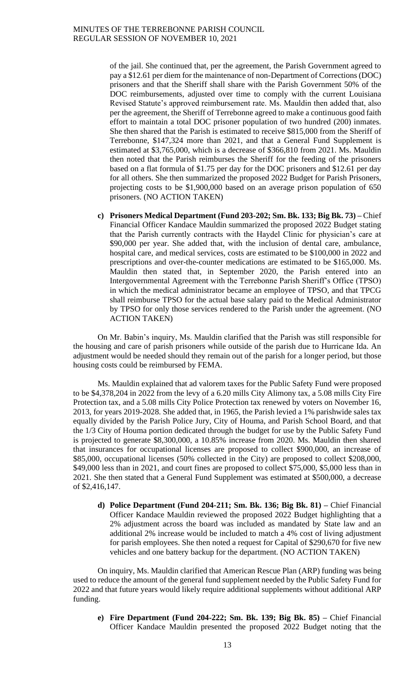of the jail. She continued that, per the agreement, the Parish Government agreed to pay a \$12.61 per diem for the maintenance of non-Department of Corrections (DOC) prisoners and that the Sheriff shall share with the Parish Government 50% of the DOC reimbursements, adjusted over time to comply with the current Louisiana Revised Statute's approved reimbursement rate. Ms. Mauldin then added that, also per the agreement, the Sheriff of Terrebonne agreed to make a continuous good faith effort to maintain a total DOC prisoner population of two hundred (200) inmates. She then shared that the Parish is estimated to receive \$815,000 from the Sheriff of Terrebonne, \$147,324 more than 2021, and that a General Fund Supplement is estimated at \$3,765,000, which is a decrease of \$366,810 from 2021. Ms. Mauldin then noted that the Parish reimburses the Sheriff for the feeding of the prisoners based on a flat formula of \$1.75 per day for the DOC prisoners and \$12.61 per day for all others. She then summarized the proposed 2022 Budget for Parish Prisoners, projecting costs to be \$1,900,000 based on an average prison population of 650 prisoners. (NO ACTION TAKEN)

**c) Prisoners Medical Department (Fund 203-202; Sm. Bk. 133; Big Bk. 73) –** Chief Financial Officer Kandace Mauldin summarized the proposed 2022 Budget stating that the Parish currently contracts with the Haydel Clinic for physician's care at \$90,000 per year. She added that, with the inclusion of dental care, ambulance, hospital care, and medical services, costs are estimated to be \$100,000 in 2022 and prescriptions and over-the-counter medications are estimated to be \$165,000. Ms. Mauldin then stated that, in September 2020, the Parish entered into an Intergovernmental Agreement with the Terrebonne Parish Sheriff's Office (TPSO) in which the medical administrator became an employee of TPSO, and that TPCG shall reimburse TPSO for the actual base salary paid to the Medical Administrator by TPSO for only those services rendered to the Parish under the agreement. (NO ACTION TAKEN)

On Mr. Babin's inquiry, Ms. Mauldin clarified that the Parish was still responsible for the housing and care of parish prisoners while outside of the parish due to Hurricane Ida. An adjustment would be needed should they remain out of the parish for a longer period, but those housing costs could be reimbursed by FEMA.

Ms. Mauldin explained that ad valorem taxes for the Public Safety Fund were proposed to be \$4,378,204 in 2022 from the levy of a 6.20 mills City Alimony tax, a 5.08 mills City Fire Protection tax, and a 5.08 mills City Police Protection tax renewed by voters on November 16, 2013, for years 2019-2028. She added that, in 1965, the Parish levied a 1% parishwide sales tax equally divided by the Parish Police Jury, City of Houma, and Parish School Board, and that the 1/3 City of Houma portion dedicated through the budget for use by the Public Safety Fund is projected to generate \$8,300,000, a 10.85% increase from 2020. Ms. Mauldin then shared that insurances for occupational licenses are proposed to collect \$900,000, an increase of \$85,000, occupational licenses (50% collected in the City) are proposed to collect \$208,000, \$49,000 less than in 2021, and court fines are proposed to collect \$75,000, \$5,000 less than in 2021. She then stated that a General Fund Supplement was estimated at \$500,000, a decrease of \$2,416,147.

**d) Police Department (Fund 204-211; Sm. Bk. 136; Big Bk. 81) –** Chief Financial Officer Kandace Mauldin reviewed the proposed 2022 Budget highlighting that a 2% adjustment across the board was included as mandated by State law and an additional 2% increase would be included to match a 4% cost of living adjustment for parish employees. She then noted a request for Capital of \$290,670 for five new vehicles and one battery backup for the department. (NO ACTION TAKEN)

On inquiry, Ms. Mauldin clarified that American Rescue Plan (ARP) funding was being used to reduce the amount of the general fund supplement needed by the Public Safety Fund for 2022 and that future years would likely require additional supplements without additional ARP funding.

**e) Fire Department (Fund 204-222; Sm. Bk. 139; Big Bk. 85) –** Chief Financial Officer Kandace Mauldin presented the proposed 2022 Budget noting that the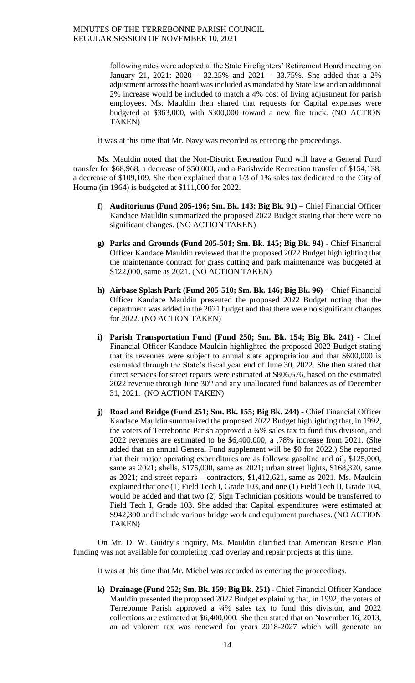following rates were adopted at the State Firefighters' Retirement Board meeting on January 21, 2021: 2020 – 32.25% and 2021 – 33.75%. She added that a 2% adjustment across the board was included as mandated by State law and an additional 2% increase would be included to match a 4% cost of living adjustment for parish employees. Ms. Mauldin then shared that requests for Capital expenses were budgeted at \$363,000, with \$300,000 toward a new fire truck. (NO ACTION TAKEN)

It was at this time that Mr. Navy was recorded as entering the proceedings.

Ms. Mauldin noted that the Non-District Recreation Fund will have a General Fund transfer for \$68,968, a decrease of \$50,000, and a Parishwide Recreation transfer of \$154,138, a decrease of \$109,109. She then explained that a 1/3 of 1% sales tax dedicated to the City of Houma (in 1964) is budgeted at \$111,000 for 2022.

- **f) Auditoriums (Fund 205-196; Sm. Bk. 143; Big Bk. 91) –** Chief Financial Officer Kandace Mauldin summarized the proposed 2022 Budget stating that there were no significant changes. (NO ACTION TAKEN)
- **g) Parks and Grounds (Fund 205-501; Sm. Bk. 145; Big Bk. 94) -** Chief Financial Officer Kandace Mauldin reviewed that the proposed 2022 Budget highlighting that the maintenance contract for grass cutting and park maintenance was budgeted at \$122,000, same as 2021. (NO ACTION TAKEN)
- **h) Airbase Splash Park (Fund 205-510; Sm. Bk. 146; Big Bk. 96)** Chief Financial Officer Kandace Mauldin presented the proposed 2022 Budget noting that the department was added in the 2021 budget and that there were no significant changes for 2022. (NO ACTION TAKEN)
- **i) Parish Transportation Fund (Fund 250; Sm. Bk. 154; Big Bk. 241)** Chief Financial Officer Kandace Mauldin highlighted the proposed 2022 Budget stating that its revenues were subject to annual state appropriation and that \$600,000 is estimated through the State's fiscal year end of June 30, 2022. She then stated that direct services for street repairs were estimated at \$806,676, based on the estimated  $2022$  revenue through June  $30<sup>th</sup>$  and any unallocated fund balances as of December 31, 2021. (NO ACTION TAKEN)
- **j) Road and Bridge (Fund 251; Sm. Bk. 155; Big Bk. 244)** Chief Financial Officer Kandace Mauldin summarized the proposed 2022 Budget highlighting that, in 1992, the voters of Terrebonne Parish approved a ¼% sales tax to fund this division, and 2022 revenues are estimated to be \$6,400,000, a .78% increase from 2021. (She added that an annual General Fund supplement will be \$0 for 2022.) She reported that their major operating expenditures are as follows: gasoline and oil, \$125,000, same as 2021; shells, \$175,000, same as 2021; urban street lights, \$168,320, same as 2021; and street repairs – contractors, \$1,412,621, same as 2021. Ms. Mauldin explained that one (1) Field Tech I, Grade 103, and one (1) Field Tech II, Grade 104, would be added and that two (2) Sign Technician positions would be transferred to Field Tech I, Grade 103. She added that Capital expenditures were estimated at \$942,300 and include various bridge work and equipment purchases. (NO ACTION TAKEN)

On Mr. D. W. Guidry's inquiry, Ms. Mauldin clarified that American Rescue Plan funding was not available for completing road overlay and repair projects at this time.

It was at this time that Mr. Michel was recorded as entering the proceedings.

**k) Drainage (Fund 252; Sm. Bk. 159; Big Bk. 251)** - Chief Financial Officer Kandace Mauldin presented the proposed 2022 Budget explaining that, in 1992, the voters of Terrebonne Parish approved a ¼% sales tax to fund this division, and 2022 collections are estimated at \$6,400,000. She then stated that on November 16, 2013, an ad valorem tax was renewed for years 2018-2027 which will generate an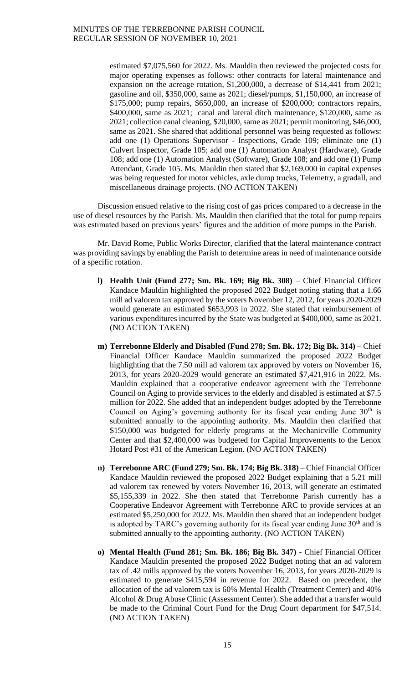estimated \$7,075,560 for 2022. Ms. Mauldin then reviewed the projected costs for major operating expenses as follows: other contracts for lateral maintenance and expansion on the acreage rotation, \$1,200,000, a decrease of \$14,441 from 2021; gasoline and oil, \$350,000, same as 2021; diesel/pumps, \$1,150,000, an increase of \$175,000; pump repairs, \$650,000, an increase of \$200,000; contractors repairs, \$400,000, same as 2021; canal and lateral ditch maintenance, \$120,000, same as 2021; collection canal cleaning, \$20,000, same as 2021; permit monitoring, \$46,000, same as 2021. She shared that additional personnel was being requested as follows: add one (1) Operations Supervisor - Inspections, Grade 109; eliminate one (1) Culvert Inspector, Grade 105; add one (1) Automation Analyst (Hardware), Grade 108; add one (1) Automation Analyst (Software), Grade 108; and add one (1) Pump Attendant, Grade 105. Ms. Mauldin then stated that \$2,169,000 in capital expenses was being requested for motor vehicles, axle dump trucks, Telemetry, a gradall, and miscellaneous drainage projects. (NO ACTION TAKEN)

Discussion ensued relative to the rising cost of gas prices compared to a decrease in the use of diesel resources by the Parish. Ms. Mauldin then clarified that the total for pump repairs was estimated based on previous years' figures and the addition of more pumps in the Parish.

Mr. David Rome, Public Works Director, clarified that the lateral maintenance contract was providing savings by enabling the Parish to determine areas in need of maintenance outside of a specific rotation.

- **l) Health Unit (Fund 277; Sm. Bk. 169; Big Bk. 308)** Chief Financial Officer Kandace Mauldin highlighted the proposed 2022 Budget noting stating that a 1.66 mill ad valorem tax approved by the voters November 12, 2012, for years 2020-2029 would generate an estimated \$653,993 in 2022. She stated that reimbursement of various expenditures incurred by the State was budgeted at \$400,000, same as 2021. (NO ACTION TAKEN)
- **m) Terrebonne Elderly and Disabled (Fund 278; Sm. Bk. 172; Big Bk. 314)** Chief Financial Officer Kandace Mauldin summarized the proposed 2022 Budget highlighting that the 7.50 mill ad valorem tax approved by voters on November 16, 2013, for years 2020-2029 would generate an estimated \$7,421,916 in 2022. Ms. Mauldin explained that a cooperative endeavor agreement with the Terrebonne Council on Aging to provide services to the elderly and disabled is estimated at \$7.5 million for 2022. She added that an independent budget adopted by the Terrebonne Council on Aging's governing authority for its fiscal year ending June  $30<sup>th</sup>$  is submitted annually to the appointing authority. Ms. Mauldin then clarified that \$150,000 was budgeted for elderly programs at the Mechanicville Community Center and that \$2,400,000 was budgeted for Capital Improvements to the Lenox Hotard Post #31 of the American Legion. (NO ACTION TAKEN)
- **n) Terrebonne ARC (Fund 279; Sm. Bk. 174; Big Bk. 318)** Chief Financial Officer Kandace Mauldin reviewed the proposed 2022 Budget explaining that a 5.21 mill ad valorem tax renewed by voters November 16, 2013, will generate an estimated \$5,155,339 in 2022. She then stated that Terrebonne Parish currently has a Cooperative Endeavor Agreement with Terrebonne ARC to provide services at an estimated \$5,250,000 for 2022. Ms. Mauldin then shared that an independent budget is adopted by TARC's governing authority for its fiscal year ending June  $30<sup>th</sup>$  and is submitted annually to the appointing authority. (NO ACTION TAKEN)
- **o) Mental Health (Fund 281; Sm. Bk. 186; Big Bk. 347)**  Chief Financial Officer Kandace Mauldin presented the proposed 2022 Budget noting that an ad valorem tax of .42 mills approved by the voters November 16, 2013, for years 2020-2029 is estimated to generate \$415,594 in revenue for 2022. Based on precedent, the allocation of the ad valorem tax is 60% Mental Health (Treatment Center) and 40% Alcohol & Drug Abuse Clinic (Assessment Center). She added that a transfer would be made to the Criminal Court Fund for the Drug Court department for \$47,514. (NO ACTION TAKEN)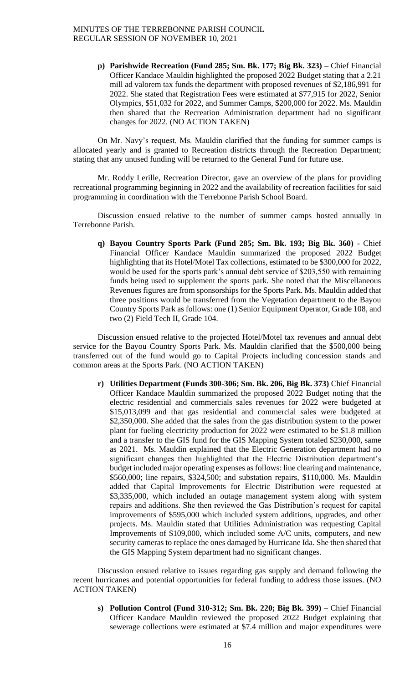**p) Parishwide Recreation (Fund 285; Sm. Bk. 177; Big Bk. 323) –** Chief Financial Officer Kandace Mauldin highlighted the proposed 2022 Budget stating that a 2.21 mill ad valorem tax funds the department with proposed revenues of \$2,186,991 for 2022. She stated that Registration Fees were estimated at \$77,915 for 2022, Senior Olympics, \$51,032 for 2022, and Summer Camps, \$200,000 for 2022. Ms. Mauldin then shared that the Recreation Administration department had no significant changes for 2022. (NO ACTION TAKEN)

On Mr. Navy's request, Ms. Mauldin clarified that the funding for summer camps is allocated yearly and is granted to Recreation districts through the Recreation Department; stating that any unused funding will be returned to the General Fund for future use.

Mr. Roddy Lerille, Recreation Director, gave an overview of the plans for providing recreational programming beginning in 2022 and the availability of recreation facilities for said programming in coordination with the Terrebonne Parish School Board.

Discussion ensued relative to the number of summer camps hosted annually in Terrebonne Parish.

**q) Bayou Country Sports Park (Fund 285; Sm. Bk. 193; Big Bk. 360) -** Chief Financial Officer Kandace Mauldin summarized the proposed 2022 Budget highlighting that its Hotel/Motel Tax collections, estimated to be \$300,000 for 2022, would be used for the sports park's annual debt service of \$203,550 with remaining funds being used to supplement the sports park. She noted that the Miscellaneous Revenues figures are from sponsorships for the Sports Park. Ms. Mauldin added that three positions would be transferred from the Vegetation department to the Bayou Country Sports Park as follows: one (1) Senior Equipment Operator, Grade 108, and two (2) Field Tech II, Grade 104.

Discussion ensued relative to the projected Hotel/Motel tax revenues and annual debt service for the Bayou Country Sports Park. Ms. Mauldin clarified that the \$500,000 being transferred out of the fund would go to Capital Projects including concession stands and common areas at the Sports Park. (NO ACTION TAKEN)

**r) Utilities Department (Funds 300-306; Sm. Bk. 206, Big Bk. 373)** Chief Financial Officer Kandace Mauldin summarized the proposed 2022 Budget noting that the electric residential and commercials sales revenues for 2022 were budgeted at \$15,013,099 and that gas residential and commercial sales were budgeted at \$2,350,000. She added that the sales from the gas distribution system to the power plant for fueling electricity production for 2022 were estimated to be \$1.8 million and a transfer to the GIS fund for the GIS Mapping System totaled \$230,000, same as 2021. Ms. Mauldin explained that the Electric Generation department had no significant changes then highlighted that the Electric Distribution department's budget included major operating expenses as follows: line clearing and maintenance, \$560,000; line repairs, \$324,500; and substation repairs, \$110,000. Ms. Mauldin added that Capital Improvements for Electric Distribution were requested at \$3,335,000, which included an outage management system along with system repairs and additions. She then reviewed the Gas Distribution's request for capital improvements of \$595,000 which included system additions, upgrades, and other projects. Ms. Mauldin stated that Utilities Administration was requesting Capital Improvements of \$109,000, which included some A/C units, computers, and new security cameras to replace the ones damaged by Hurricane Ida. She then shared that the GIS Mapping System department had no significant changes.

Discussion ensued relative to issues regarding gas supply and demand following the recent hurricanes and potential opportunities for federal funding to address those issues. (NO ACTION TAKEN)

**s) Pollution Control (Fund 310-312; Sm. Bk. 220; Big Bk. 399)** – Chief Financial Officer Kandace Mauldin reviewed the proposed 2022 Budget explaining that sewerage collections were estimated at \$7.4 million and major expenditures were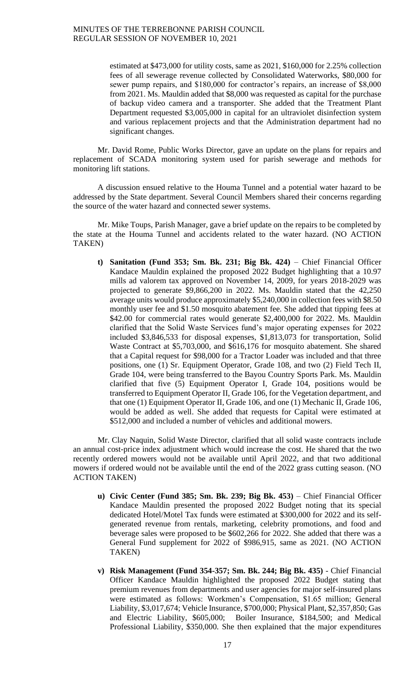estimated at \$473,000 for utility costs, same as 2021, \$160,000 for 2.25% collection fees of all sewerage revenue collected by Consolidated Waterworks, \$80,000 for sewer pump repairs, and \$180,000 for contractor's repairs, an increase of \$8,000 from 2021. Ms. Mauldin added that \$8,000 was requested as capital for the purchase of backup video camera and a transporter. She added that the Treatment Plant Department requested \$3,005,000 in capital for an ultraviolet disinfection system and various replacement projects and that the Administration department had no significant changes.

Mr. David Rome, Public Works Director, gave an update on the plans for repairs and replacement of SCADA monitoring system used for parish sewerage and methods for monitoring lift stations.

A discussion ensued relative to the Houma Tunnel and a potential water hazard to be addressed by the State department. Several Council Members shared their concerns regarding the source of the water hazard and connected sewer systems.

Mr. Mike Toups, Parish Manager, gave a brief update on the repairs to be completed by the state at the Houma Tunnel and accidents related to the water hazard. (NO ACTION TAKEN)

**t) Sanitation (Fund 353; Sm. Bk. 231; Big Bk. 424)** – Chief Financial Officer Kandace Mauldin explained the proposed 2022 Budget highlighting that a 10.97 mills ad valorem tax approved on November 14, 2009, for years 2018-2029 was projected to generate \$9,866,200 in 2022. Ms. Mauldin stated that the 42,250 average units would produce approximately \$5,240,000 in collection fees with \$8.50 monthly user fee and \$1.50 mosquito abatement fee. She added that tipping fees at \$42.00 for commercial rates would generate \$2,400,000 for 2022. Ms. Mauldin clarified that the Solid Waste Services fund's major operating expenses for 2022 included \$3,846,533 for disposal expenses, \$1,813,073 for transportation, Solid Waste Contract at \$5,703,000, and \$616,176 for mosquito abatement. She shared that a Capital request for \$98,000 for a Tractor Loader was included and that three positions, one (1) Sr. Equipment Operator, Grade 108, and two (2) Field Tech II, Grade 104, were being transferred to the Bayou Country Sports Park. Ms. Mauldin clarified that five (5) Equipment Operator I, Grade 104, positions would be transferred to Equipment Operator II, Grade 106, for the Vegetation department, and that one (1) Equipment Operator II, Grade 106, and one (1) Mechanic II, Grade 106, would be added as well. She added that requests for Capital were estimated at \$512,000 and included a number of vehicles and additional mowers.

Mr. Clay Naquin, Solid Waste Director, clarified that all solid waste contracts include an annual cost-price index adjustment which would increase the cost. He shared that the two recently ordered mowers would not be available until April 2022, and that two additional mowers if ordered would not be available until the end of the 2022 grass cutting season. (NO ACTION TAKEN)

- **u) Civic Center (Fund 385; Sm. Bk. 239; Big Bk. 453)** Chief Financial Officer Kandace Mauldin presented the proposed 2022 Budget noting that its special dedicated Hotel/Motel Tax funds were estimated at \$300,000 for 2022 and its selfgenerated revenue from rentals, marketing, celebrity promotions, and food and beverage sales were proposed to be \$602,266 for 2022. She added that there was a General Fund supplement for 2022 of \$986,915, same as 2021. (NO ACTION TAKEN)
- **v) Risk Management (Fund 354-357; Sm. Bk. 244; Big Bk. 435)**  Chief Financial Officer Kandace Mauldin highlighted the proposed 2022 Budget stating that premium revenues from departments and user agencies for major self-insured plans were estimated as follows: Workmen's Compensation, \$1.65 million; General Liability, \$3,017,674; Vehicle Insurance, \$700,000; Physical Plant, \$2,357,850; Gas and Electric Liability, \$605,000; Boiler Insurance, \$184,500; and Medical Professional Liability, \$350,000. She then explained that the major expenditures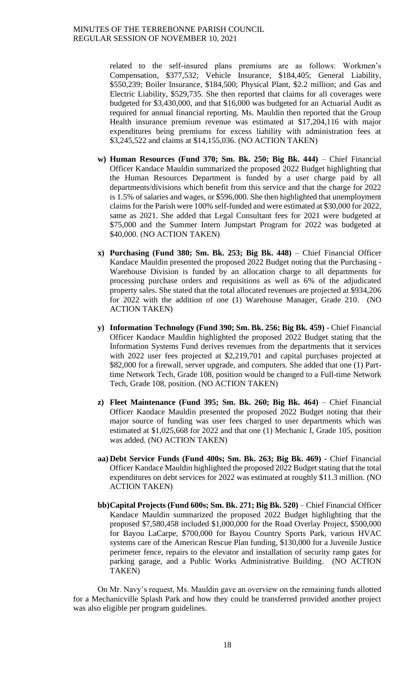related to the self-insured plans premiums are as follows: Workmen's Compensation, \$377,532; Vehicle Insurance, \$184,405; General Liability, \$550,239; Boiler Insurance, \$184,500; Physical Plant, \$2.2 million; and Gas and Electric Liability, \$529,735. She then reported that claims for all coverages were budgeted for \$3,430,000, and that \$16,000 was budgeted for an Actuarial Audit as required for annual financial reporting. Ms. Mauldin then reported that the Group Health insurance premium revenue was estimated at \$17,204,116 with major expenditures being premiums for excess liability with administration fees at \$3,245,522 and claims at \$14,155,036. (NO ACTION TAKEN)

- **w) Human Resources (Fund 370; Sm. Bk. 250; Big Bk. 444)** Chief Financial Officer Kandace Mauldin summarized the proposed 2022 Budget highlighting that the Human Resources Department is funded by a user charge paid by all departments/divisions which benefit from this service and that the charge for 2022 is 1.5% of salaries and wages, or \$596,000. She then highlighted that unemployment claims for the Parish were 100% self-funded and were estimated at \$30,000 for 2022, same as 2021. She added that Legal Consultant fees for 2021 were budgeted at \$75,000 and the Summer Intern Jumpstart Program for 2022 was budgeted at \$40,000. (NO ACTION TAKEN)
- **x) Purchasing (Fund 380; Sm. Bk. 253; Big Bk. 448)** Chief Financial Officer Kandace Mauldin presented the proposed 2022 Budget noting that the Purchasing - Warehouse Division is funded by an allocation charge to all departments for processing purchase orders and requisitions as well as 6% of the adjudicated property sales. She stated that the total allocated revenues are projected at \$934,206 for 2022 with the addition of one (1) Warehouse Manager, Grade 210. (NO ACTION TAKEN)
- **y) Information Technology (Fund 390; Sm. Bk. 256; Big Bk. 459)**  Chief Financial Officer Kandace Mauldin highlighted the proposed 2022 Budget stating that the Information Systems Fund derives revenues from the departments that it services with 2022 user fees projected at \$2,219,701 and capital purchases projected at \$82,000 for a firewall, server upgrade, and computers. She added that one (1) Parttime Network Tech, Grade 108, position would be changed to a Full-time Network Tech, Grade 108, position. (NO ACTION TAKEN)
- **z) Fleet Maintenance (Fund 395; Sm. Bk. 260; Big Bk. 464)** Chief Financial Officer Kandace Mauldin presented the proposed 2022 Budget noting that their major source of funding was user fees charged to user departments which was estimated at \$1,025,668 for 2022 and that one (1) Mechanic I, Grade 105, position was added. (NO ACTION TAKEN)
- **aa) Debt Service Funds (Fund 400s; Sm. Bk. 263; Big Bk. 469)**  Chief Financial Officer Kandace Mauldin highlighted the proposed 2022 Budget stating that the total expenditures on debt services for 2022 was estimated at roughly \$11.3 million. (NO ACTION TAKEN)
- **bb)Capital Projects (Fund 600s; Sm. Bk. 271; Big Bk. 520)** Chief Financial Officer Kandace Mauldin summarized the proposed 2022 Budget highlighting that the proposed \$7,580,458 included \$1,000,000 for the Road Overlay Project, \$500,000 for Bayou LaCarpe, \$700,000 for Bayou Country Sports Park, various HVAC systems care of the American Rescue Plan funding, \$130,000 for a Juvenile Justice perimeter fence, repairs to the elevator and installation of security ramp gates for parking garage, and a Public Works Administrative Building. (NO ACTION TAKEN)

On Mr. Navy's request, Ms. Mauldin gave an overview on the remaining funds allotted for a Mechanicville Splash Park and how they could be transferred provided another project was also eligible per program guidelines.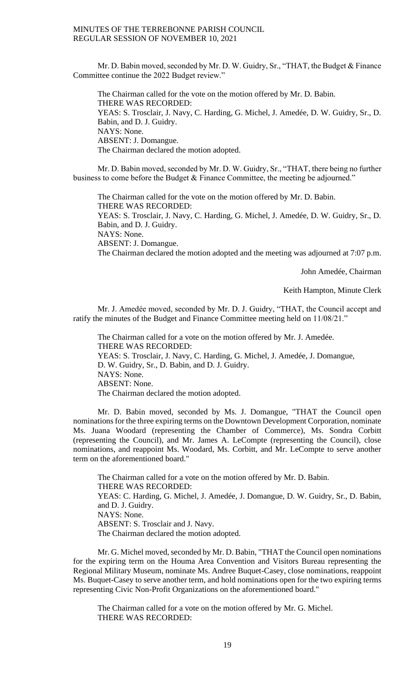Mr. D. Babin moved, seconded by Mr. D. W. Guidry, Sr., "THAT, the Budget & Finance Committee continue the 2022 Budget review."

The Chairman called for the vote on the motion offered by Mr. D. Babin. THERE WAS RECORDED: YEAS: S. Trosclair, J. Navy, C. Harding, G. Michel, J. Amedée, D. W. Guidry, Sr., D. Babin, and D. J. Guidry. NAYS: None. ABSENT: J. Domangue. The Chairman declared the motion adopted.

Mr. D. Babin moved, seconded by Mr. D. W. Guidry, Sr., "THAT, there being no further business to come before the Budget & Finance Committee, the meeting be adjourned."

The Chairman called for the vote on the motion offered by Mr. D. Babin. THERE WAS RECORDED: YEAS: S. Trosclair, J. Navy, C. Harding, G. Michel, J. Amedée, D. W. Guidry, Sr., D. Babin, and D. J. Guidry. NAYS: None. ABSENT: J. Domangue. The Chairman declared the motion adopted and the meeting was adjourned at 7:07 p.m.

John Amedée, Chairman

Keith Hampton, Minute Clerk

Mr. J. Amedée moved, seconded by Mr. D. J. Guidry, "THAT, the Council accept and ratify the minutes of the Budget and Finance Committee meeting held on 11/08/21."

The Chairman called for a vote on the motion offered by Mr. J. Amedée. THERE WAS RECORDED: YEAS: S. Trosclair, J. Navy, C. Harding, G. Michel, J. Amedée, J. Domangue, D. W. Guidry, Sr., D. Babin, and D. J. Guidry. NAYS: None. ABSENT: None. The Chairman declared the motion adopted.

Mr. D. Babin moved, seconded by Ms. J. Domangue, "THAT the Council open nominations for the three expiring terms on the Downtown Development Corporation, nominate Ms. Juana Woodard (representing the Chamber of Commerce), Ms. Sondra Corbitt (representing the Council), and Mr. James A. LeCompte (representing the Council), close nominations, and reappoint Ms. Woodard, Ms. Corbitt, and Mr. LeCompte to serve another term on the aforementioned board."

The Chairman called for a vote on the motion offered by Mr. D. Babin. THERE WAS RECORDED: YEAS: C. Harding, G. Michel, J. Amedée, J. Domangue, D. W. Guidry, Sr., D. Babin, and D. J. Guidry. NAYS: None. ABSENT: S. Trosclair and J. Navy. The Chairman declared the motion adopted.

Mr. G. Michel moved, seconded by Mr. D. Babin, "THAT the Council open nominations for the expiring term on the Houma Area Convention and Visitors Bureau representing the Regional Military Museum, nominate Ms. Andree Buquet-Casey, close nominations, reappoint Ms. Buquet-Casey to serve another term, and hold nominations open for the two expiring terms representing Civic Non-Profit Organizations on the aforementioned board."

The Chairman called for a vote on the motion offered by Mr. G. Michel. THERE WAS RECORDED: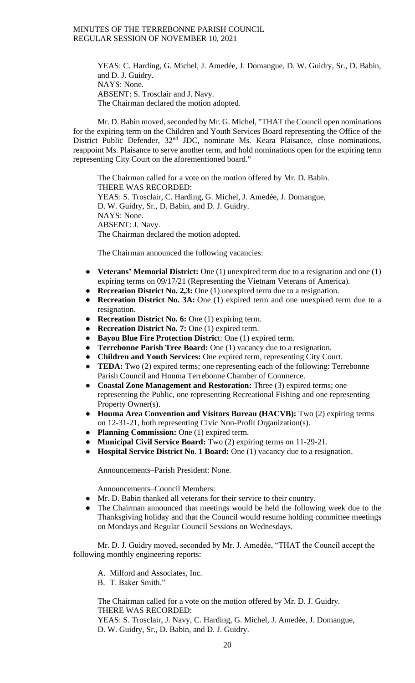YEAS: C. Harding, G. Michel, J. Amedée, J. Domangue, D. W. Guidry, Sr., D. Babin, and D. J. Guidry. NAYS: None. ABSENT: S. Trosclair and J. Navy. The Chairman declared the motion adopted.

Mr. D. Babin moved, seconded by Mr. G. Michel, "THAT the Council open nominations for the expiring term on the Children and Youth Services Board representing the Office of the District Public Defender, 32<sup>nd</sup> JDC, nominate Ms. Keara Plaisance, close nominations, reappoint Ms. Plaisance to serve another term, and hold nominations open for the expiring term representing City Court on the aforementioned board."

The Chairman called for a vote on the motion offered by Mr. D. Babin. THERE WAS RECORDED: YEAS: S. Trosclair, C. Harding, G. Michel, J. Amedée, J. Domangue, D. W. Guidry, Sr., D. Babin, and D. J. Guidry. NAYS: None. ABSENT: J. Navy. The Chairman declared the motion adopted.

The Chairman announced the following vacancies:

- **Veterans' Memorial District:** One (1) unexpired term due to a resignation and one (1) expiring terms on 09/17/21 (Representing the Vietnam Veterans of America).
- **Recreation District No. 2,3:** One (1) unexpired term due to a resignation.
- **Recreation District No. 3A:** One (1) expired term and one unexpired term due to a resignation.
- **Recreation District No. 6:** One (1) expiring term.
- **Recreation District No. 7:** One (1) expired term.
- **Bayou Blue Fire Protection Distric**t: One (1) expired term.
- **Terrebonne Parish Tree Board:** One (1) vacancy due to a resignation.
- **Children and Youth Services:** One expired term, representing City Court.
- **TEDA:** Two (2) expired terms; one representing each of the following: Terrebonne Parish Council and Houma Terrebonne Chamber of Commerce.
- **Coastal Zone Management and Restoration:** Three (3) expired terms; one representing the Public, one representing Recreational Fishing and one representing Property Owner(s).
- **Houma Area Convention and Visitors Bureau (HACVB):** Two (2) expiring terms on 12-31-21, both representing Civic Non-Profit Organization(s).
- **Planning Commission:** One (1) expired term.
- **Municipal Civil Service Board:** Two (2) expiring terms on 11-29-21.
- **Hospital Service District No**. **1 Board:** One (1) vacancy due to a resignation.

Announcements–Parish President: None.

Announcements–Council Members:

- Mr. D. Babin thanked all veterans for their service to their country.
- The Chairman announced that meetings would be held the following week due to the Thanksgiving holiday and that the Council would resume holding committee meetings on Mondays and Regular Council Sessions on Wednesdays.

Mr. D. J. Guidry moved, seconded by Mr. J. Amedée, "THAT the Council accept the following monthly engineering reports:

- A. Milford and Associates, Inc.
- B. T. Baker Smith."

The Chairman called for a vote on the motion offered by Mr. D. J. Guidry. THERE WAS RECORDED:

YEAS: S. Trosclair, J. Navy, C. Harding, G. Michel, J. Amedée, J. Domangue, D. W. Guidry, Sr., D. Babin, and D. J. Guidry.